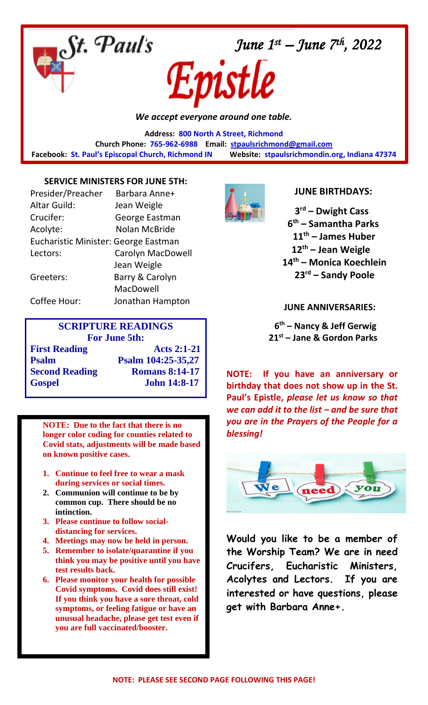

*We accept everyone around one table.*

**Address: 800 North A Street, Richmond Church Phone: 765-962-6988 Email: [stpaulsrichmond@gmail.com](mailto:stpaulsrichmond@gmail.com)  Facebook: St. Paul's Episcopal Church, Richmond IN Website: stpaulsrichmondin.org, Indiana 47374**

### **SERVICE MINISTERS FOR JUNE 5TH:**

| Presider/Preacher                    | Barbara Anne+            |
|--------------------------------------|--------------------------|
| <b>Altar Guild:</b>                  | Jean Weigle              |
| Crucifer:                            | George Eastman           |
| Acolyte:                             | <b>Nolan McBride</b>     |
| Eucharistic Minister: George Eastman |                          |
| Lectors:                             | <b>Carolyn MacDowell</b> |
|                                      | Jean Weigle              |
| Greeters:                            | Barry & Carolyn          |
|                                      | MacDowell                |
| Coffee Hour:                         | Jonathan Hampton         |

# **SCRIPTURE READINGS For June 5th: First Reading 4.2:1-21 Psalm Psalm 104:25-35,27 Second Reading Romans 8:14-17 Gospel John 14:8-17**

**NOTE: Due to the fact that there is no longer color coding for counties related to Covid stats, adjustments will be made based on known positive cases.**

- **1. Continue to feel free to wear a mask during services or social times.**
- **2. Communion will continue to be by common cup. There should be no intinction.**
- **3. Please continue to follow socialdistancing for services.**
- **4. Meetings may now be held in person.**
- **5. Remember to isolate/quarantine if you think you may be positive until you have test results back.**
- **6. Please monitor your health for possible Covid symptoms. Covid does still exist! If you think you have a sore throat, cold symptoms, or feeling fatigue or have an unusual headache, please get test even if you are full vaccinated/booster.**



### **JUNE BIRTHDAYS:**

 **rd – Dwight Cass th – Samantha Parks th – James Huber th – Jean Weigle th – Monica Koechlein rd – Sandy Poole**

### **JUNE ANNIVERSARIES:**

 **6 th – Nancy & Jeff Gerwig 21st – Jane & Gordon Parks**

**NOTE: If you have an anniversary or birthday that does not show up in the St. Paul's Epistle,** *please let us know so that we can add it to the list – and be sure that you are in the Prayers of the People for a blessing!*



**Would you like to be a member of the Worship Team? We are in need Crucifers, Eucharistic Ministers, Acolytes and Lectors. If you are interested or have questions, please get with Barbara Anne+.**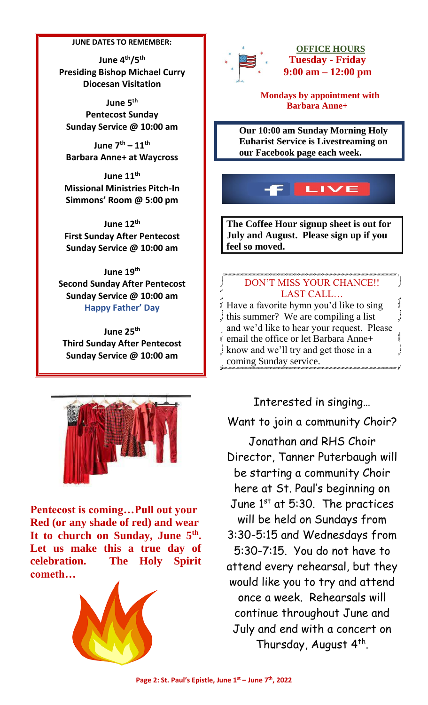#### **JUNE DATES TO REMEMBER:**

**June 4th/5th Presiding Bishop Michael Curry Diocesan Visitation**

**June 5th Pentecost Sunday Sunday Service @ 10:00 am**

**June 7th – 11th Barbara Anne+ at Waycross**

**June 11th Missional Ministries Pitch-In Simmons' Room @ 5:00 pm**

**June 12th First Sunday After Pentecost Sunday Service @ 10:00 am**

**June 19th Second Sunday After Pentecost Sunday Service @ 10:00 am Happy Father' Day**

**June 25th Third Sunday After Pentecost Sunday Service @ 10:00 am**



**Pentecost is coming…Pull out your Red (or any shade of red) and wear It to church on Sunday, June 5th . Let us make this a true day of celebration. The Holy Spirit cometh…**





 **OFFICE HOURS Tuesday - Friday 9:00 am – 12:00 pm**

 **Mondays by appointment with Barbara Anne+**

**Our 10:00 am Sunday Morning Holy Euharist Service is Livestreaming on our Facebook page each week.**



**The Coffee Hour signup sheet is out for July and August. Please sign up if you feel so moved.**

## DON'T MISS YOUR CHANCE!! LAST CALL…

 $5.985$ Have a favorite hymn you'd like to sing **Convention** this summer? We are compiling a list and we'd like to hear your request. Please email the office or let Barbara Anne+ know and we'll try and get those in a coming Sunday service.

Interested in singing…

Want to join a community Choir?

Jonathan and RHS Choir Director, Tanner Puterbaugh will be starting a community Choir here at St. Paul's beginning on June 1st at 5:30. The practices will be held on Sundays from 3:30-5:15 and Wednesdays from 5:30-7:15. You do not have to attend every rehearsal, but they would like you to try and attend once a week. Rehearsals will continue throughout June and July and end with a concert on Thursday, August 4<sup>th</sup>.